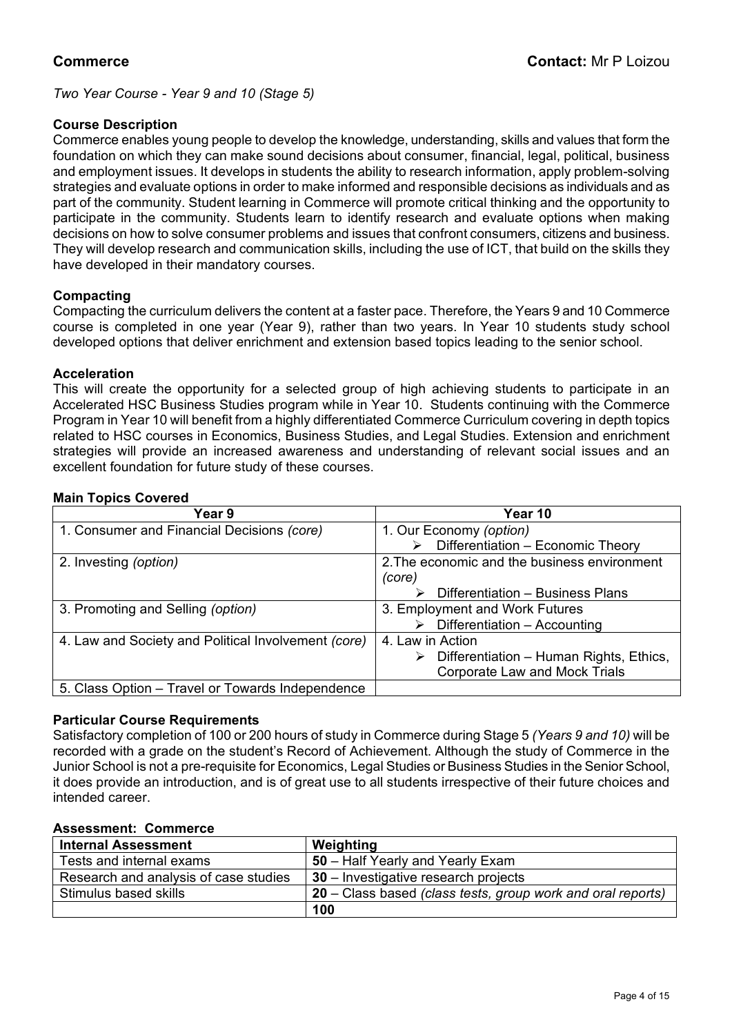*Two Year Course - Year 9 and 10 (Stage 5)*

# **Course Description**

Commerce enables young people to develop the knowledge, understanding, skills and values that form the foundation on which they can make sound decisions about consumer, financial, legal, political, business and employment issues. It develops in students the ability to research information, apply problem-solving strategies and evaluate options in order to make informed and responsible decisions as individuals and as part of the community. Student learning in Commerce will promote critical thinking and the opportunity to participate in the community. Students learn to identify research and evaluate options when making decisions on how to solve consumer problems and issues that confront consumers, citizens and business. They will develop research and communication skills, including the use of ICT, that build on the skills they have developed in their mandatory courses.

# **Compacting**

Compacting the curriculum delivers the content at a faster pace. Therefore, the Years 9 and 10 Commerce course is completed in one year (Year 9), rather than two years. In Year 10 students study school developed options that deliver enrichment and extension based topics leading to the senior school.

# **Acceleration**

This will create the opportunity for a selected group of high achieving students to participate in an Accelerated HSC Business Studies program while in Year 10. Students continuing with the Commerce Program in Year 10 will benefit from a highly differentiated Commerce Curriculum covering in depth topics related to HSC courses in Economics, Business Studies, and Legal Studies. Extension and enrichment strategies will provide an increased awareness and understanding of relevant social issues and an excellent foundation for future study of these courses.

# **Main Topics Covered**

| Year 9                                              | Year 10                                      |
|-----------------------------------------------------|----------------------------------------------|
| 1. Consumer and Financial Decisions (core)          | 1. Our Economy (option)                      |
|                                                     | Differentiation - Economic Theory<br>≻       |
| 2. Investing (option)                               | 2. The economic and the business environment |
|                                                     | (core)                                       |
|                                                     | Differentiation - Business Plans             |
| 3. Promoting and Selling (option)                   | 3. Employment and Work Futures               |
|                                                     | Differentiation - Accounting                 |
| 4. Law and Society and Political Involvement (core) | 4. Law in Action                             |
|                                                     | Differentiation - Human Rights, Ethics,<br>➤ |
|                                                     | <b>Corporate Law and Mock Trials</b>         |
| 5. Class Option – Travel or Towards Independence    |                                              |

# **Particular Course Requirements**

Satisfactory completion of 100 or 200 hours of study in Commerce during Stage 5 *(Years 9 and 10)* will be recorded with a grade on the student's Record of Achievement. Although the study of Commerce in the Junior School is not a pre-requisite for Economics, Legal Studies or Business Studies in the Senior School, it does provide an introduction, and is of great use to all students irrespective of their future choices and intended career.

### **Assessment: Commerce**

| <b>Internal Assessment</b>            | Weighting                                                   |
|---------------------------------------|-------------------------------------------------------------|
| Tests and internal exams              | 50 – Half Yearly and Yearly Exam                            |
| Research and analysis of case studies | $30$ – Investigative research projects                      |
| Stimulus based skills                 | 20 – Class based (class tests, group work and oral reports) |
|                                       | 100                                                         |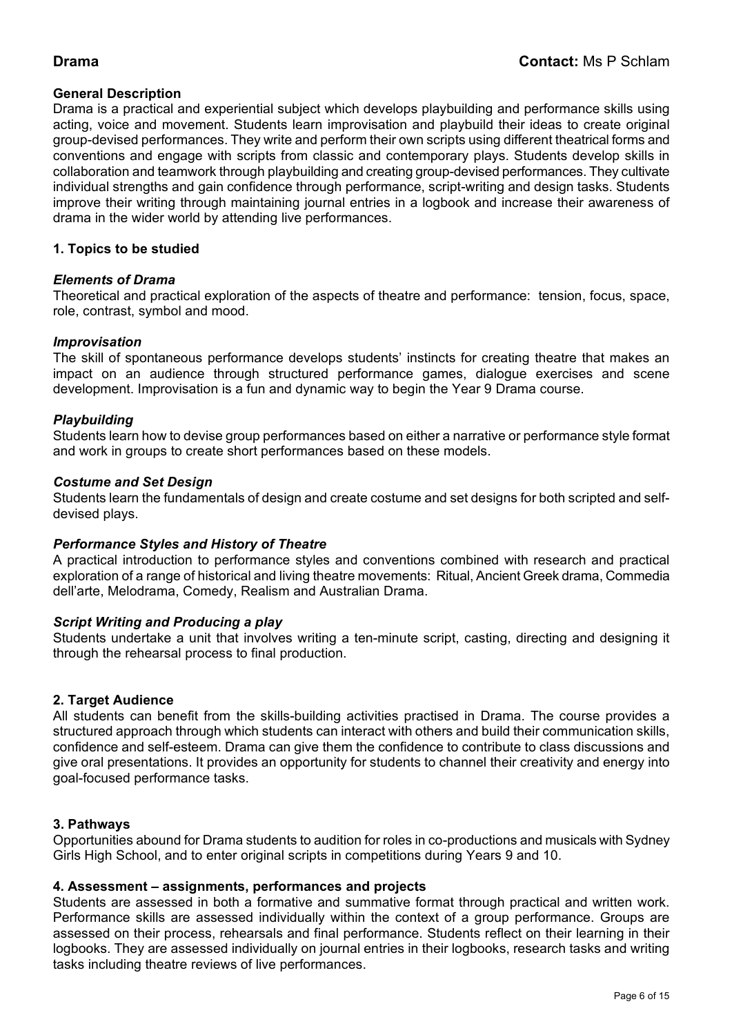# **General Description**

Drama is a practical and experiential subject which develops playbuilding and performance skills using acting, voice and movement. Students learn improvisation and playbuild their ideas to create original group-devised performances. They write and perform their own scripts using different theatrical forms and conventions and engage with scripts from classic and contemporary plays. Students develop skills in collaboration and teamwork through playbuilding and creating group-devised performances. They cultivate individual strengths and gain confidence through performance, script-writing and design tasks. Students improve their writing through maintaining journal entries in a logbook and increase their awareness of drama in the wider world by attending live performances.

# **1. Topics to be studied**

# *Elements of Drama*

Theoretical and practical exploration of the aspects of theatre and performance: tension, focus, space, role, contrast, symbol and mood.

### *Improvisation*

The skill of spontaneous performance develops students' instincts for creating theatre that makes an impact on an audience through structured performance games, dialogue exercises and scene development. Improvisation is a fun and dynamic way to begin the Year 9 Drama course.

### *Playbuilding*

Students learn how to devise group performances based on either a narrative or performance style format and work in groups to create short performances based on these models.

### *Costume and Set Design*

Students learn the fundamentals of design and create costume and set designs for both scripted and selfdevised plays.

#### *Performance Styles and History of Theatre*

A practical introduction to performance styles and conventions combined with research and practical exploration of a range of historical and living theatre movements: Ritual, Ancient Greek drama, Commedia dell'arte, Melodrama, Comedy, Realism and Australian Drama.

#### *Script Writing and Producing a play*

Students undertake a unit that involves writing a ten-minute script, casting, directing and designing it through the rehearsal process to final production.

#### **2. Target Audience**

All students can benefit from the skills-building activities practised in Drama. The course provides a structured approach through which students can interact with others and build their communication skills, confidence and self-esteem. Drama can give them the confidence to contribute to class discussions and give oral presentations. It provides an opportunity for students to channel their creativity and energy into goal-focused performance tasks.

#### **3. Pathways**

Opportunities abound for Drama students to audition for roles in co-productions and musicals with Sydney Girls High School, and to enter original scripts in competitions during Years 9 and 10.

#### **4. Assessment – assignments, performances and projects**

Students are assessed in both a formative and summative format through practical and written work. Performance skills are assessed individually within the context of a group performance. Groups are assessed on their process, rehearsals and final performance. Students reflect on their learning in their logbooks. They are assessed individually on journal entries in their logbooks, research tasks and writing tasks including theatre reviews of live performances.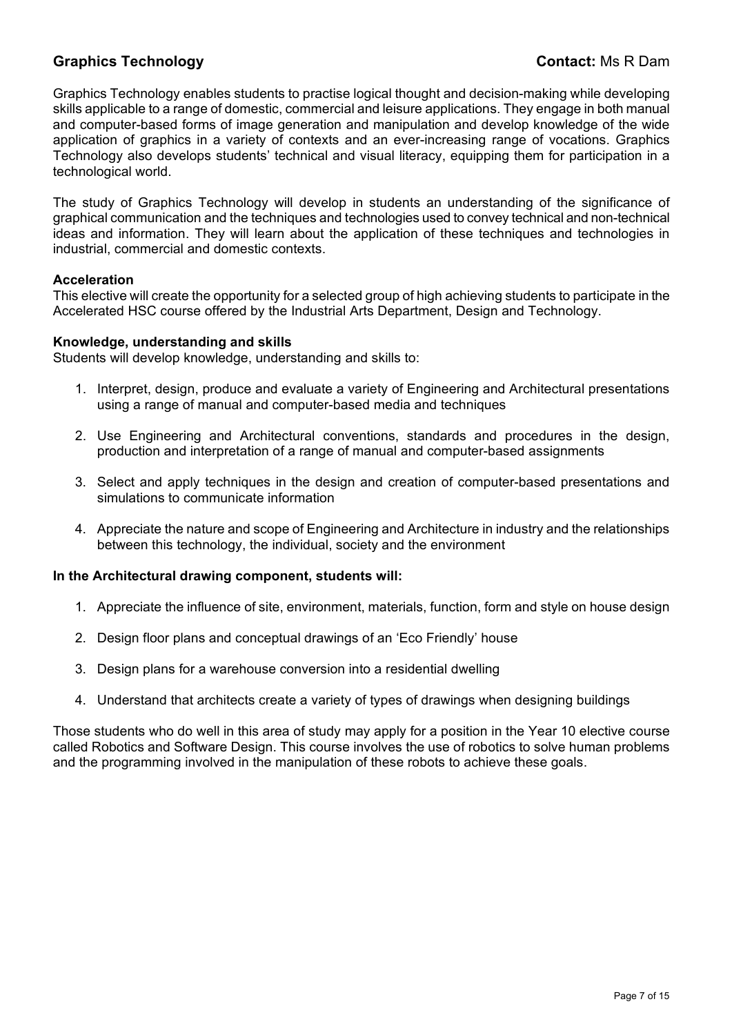# **Graphics Technology Contact:** Ms R Dam

Graphics Technology enables students to practise logical thought and decision-making while developing skills applicable to a range of domestic, commercial and leisure applications. They engage in both manual and computer-based forms of image generation and manipulation and develop knowledge of the wide application of graphics in a variety of contexts and an ever-increasing range of vocations. Graphics Technology also develops students' technical and visual literacy, equipping them for participation in a technological world.

The study of Graphics Technology will develop in students an understanding of the significance of graphical communication and the techniques and technologies used to convey technical and non-technical ideas and information. They will learn about the application of these techniques and technologies in industrial, commercial and domestic contexts.

### **Acceleration**

This elective will create the opportunity for a selected group of high achieving students to participate in the Accelerated HSC course offered by the Industrial Arts Department, Design and Technology.

### **Knowledge, understanding and skills**

Students will develop knowledge, understanding and skills to:

- 1. Interpret, design, produce and evaluate a variety of Engineering and Architectural presentations using a range of manual and computer-based media and techniques
- 2. Use Engineering and Architectural conventions, standards and procedures in the design, production and interpretation of a range of manual and computer-based assignments
- 3. Select and apply techniques in the design and creation of computer-based presentations and simulations to communicate information
- 4. Appreciate the nature and scope of Engineering and Architecture in industry and the relationships between this technology, the individual, society and the environment

#### **In the Architectural drawing component, students will:**

- 1. Appreciate the influence of site, environment, materials, function, form and style on house design
- 2. Design floor plans and conceptual drawings of an 'Eco Friendly' house
- 3. Design plans for a warehouse conversion into a residential dwelling
- 4. Understand that architects create a variety of types of drawings when designing buildings

Those students who do well in this area of study may apply for a position in the Year 10 elective course called Robotics and Software Design. This course involves the use of robotics to solve human problems and the programming involved in the manipulation of these robots to achieve these goals.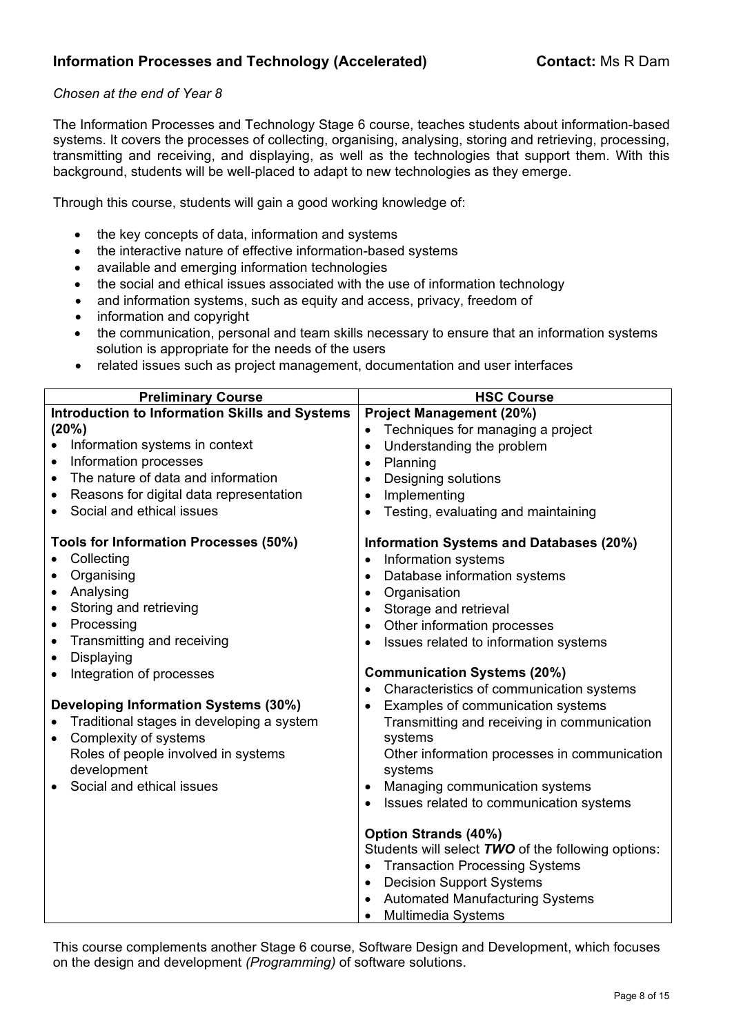# *Chosen at the end of Year 8*

The Information Processes and Technology Stage 6 course, teaches students about information-based systems. It covers the processes of collecting, organising, analysing, storing and retrieving, processing, transmitting and receiving, and displaying, as well as the technologies that support them. With this background, students will be well-placed to adapt to new technologies as they emerge.

Through this course, students will gain a good working knowledge of:

- the key concepts of data, information and systems
- the interactive nature of effective information-based systems
- available and emerging information technologies
- the social and ethical issues associated with the use of information technology
- and information systems, such as equity and access, privacy, freedom of
- information and copyright
- the communication, personal and team skills necessary to ensure that an information systems solution is appropriate for the needs of the users
- related issues such as project management, documentation and user interfaces

| <b>Preliminary Course</b>                             | <b>HSC Course</b>                                                                                                                                                                                                                                                           |
|-------------------------------------------------------|-----------------------------------------------------------------------------------------------------------------------------------------------------------------------------------------------------------------------------------------------------------------------------|
| <b>Introduction to Information Skills and Systems</b> | <b>Project Management (20%)</b>                                                                                                                                                                                                                                             |
| (20%)                                                 | Techniques for managing a project<br>$\bullet$                                                                                                                                                                                                                              |
| Information systems in context                        | Understanding the problem<br>$\bullet$                                                                                                                                                                                                                                      |
| Information processes<br>$\bullet$                    | Planning<br>$\bullet$                                                                                                                                                                                                                                                       |
| The nature of data and information<br>$\bullet$       | Designing solutions<br>$\bullet$                                                                                                                                                                                                                                            |
| Reasons for digital data representation<br>$\bullet$  | Implementing<br>$\bullet$                                                                                                                                                                                                                                                   |
| Social and ethical issues                             | Testing, evaluating and maintaining<br>$\bullet$                                                                                                                                                                                                                            |
| Tools for Information Processes (50%)                 | Information Systems and Databases (20%)                                                                                                                                                                                                                                     |
| Collecting<br>$\bullet$                               | Information systems<br>$\bullet$                                                                                                                                                                                                                                            |
| Organising<br>$\bullet$                               | Database information systems<br>$\bullet$                                                                                                                                                                                                                                   |
| Analysing<br>$\bullet$                                | Organisation<br>$\bullet$                                                                                                                                                                                                                                                   |
| Storing and retrieving<br>$\bullet$                   | Storage and retrieval<br>$\bullet$                                                                                                                                                                                                                                          |
| Processing<br>$\bullet$                               | Other information processes<br>$\bullet$                                                                                                                                                                                                                                    |
| Transmitting and receiving<br>$\bullet$               | Issues related to information systems<br>$\bullet$                                                                                                                                                                                                                          |
| Displaying<br>$\bullet$                               |                                                                                                                                                                                                                                                                             |
| Integration of processes<br>$\bullet$                 | <b>Communication Systems (20%)</b>                                                                                                                                                                                                                                          |
|                                                       | Characteristics of communication systems                                                                                                                                                                                                                                    |
| <b>Developing Information Systems (30%)</b>           | Examples of communication systems<br>$\bullet$                                                                                                                                                                                                                              |
| Traditional stages in developing a system             | Transmitting and receiving in communication                                                                                                                                                                                                                                 |
| Complexity of systems<br>$\bullet$                    | systems                                                                                                                                                                                                                                                                     |
| Roles of people involved in systems<br>development    | Other information processes in communication<br>systems                                                                                                                                                                                                                     |
| Social and ethical issues                             | Managing communication systems<br>$\bullet$                                                                                                                                                                                                                                 |
|                                                       | Issues related to communication systems                                                                                                                                                                                                                                     |
|                                                       | <b>Option Strands (40%)</b><br>Students will select TWO of the following options:<br><b>Transaction Processing Systems</b><br>$\bullet$<br><b>Decision Support Systems</b><br>$\bullet$<br><b>Automated Manufacturing Systems</b><br><b>Multimedia Systems</b><br>$\bullet$ |

This course complements another Stage 6 course, Software Design and Development, which focuses on the design and development *(Programming)* of software solutions.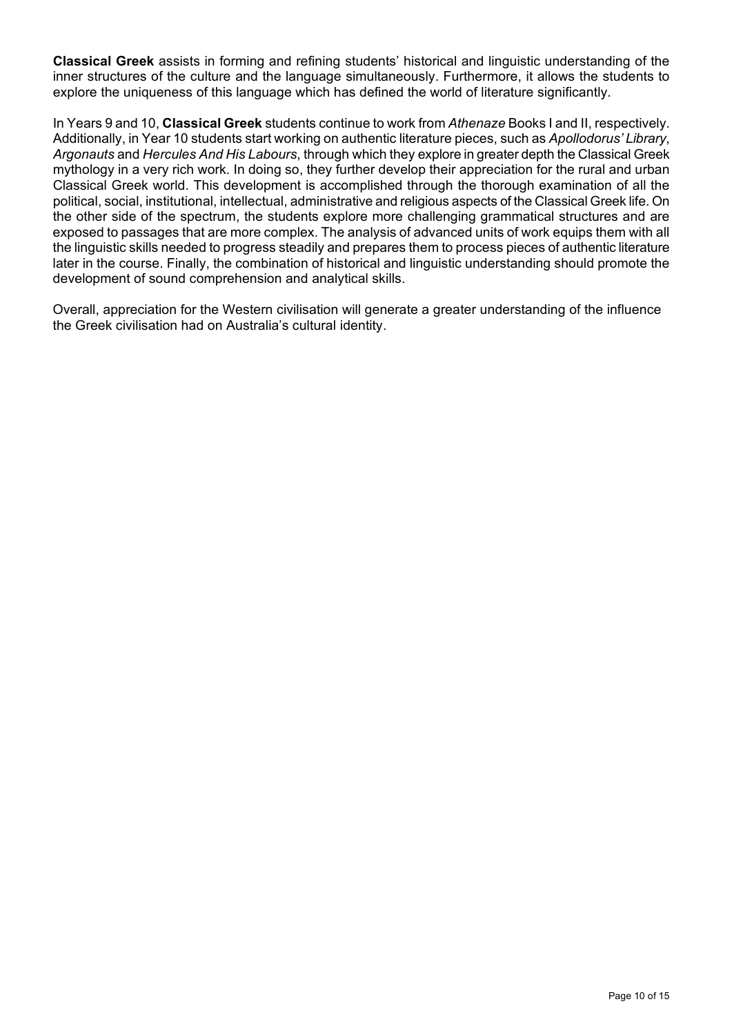**Classical Greek** assists in forming and refining students' historical and linguistic understanding of the inner structures of the culture and the language simultaneously. Furthermore, it allows the students to explore the uniqueness of this language which has defined the world of literature significantly.

In Years 9 and 10, **Classical Greek** students continue to work from *Athenaze* Books I and II, respectively. Additionally, in Year 10 students start working on authentic literature pieces, such as *Apollodorus' Library*, *Argonauts* and *Hercules And His Labours*, through which they explore in greater depth the Classical Greek mythology in a very rich work. In doing so, they further develop their appreciation for the rural and urban Classical Greek world. This development is accomplished through the thorough examination of all the political, social, institutional, intellectual, administrative and religious aspects of the Classical Greek life. On the other side of the spectrum, the students explore more challenging grammatical structures and are exposed to passages that are more complex. The analysis of advanced units of work equips them with all the linguistic skills needed to progress steadily and prepares them to process pieces of authentic literature later in the course. Finally, the combination of historical and linguistic understanding should promote the development of sound comprehension and analytical skills.

Overall, appreciation for the Western civilisation will generate a greater understanding of the influence the Greek civilisation had on Australia's cultural identity.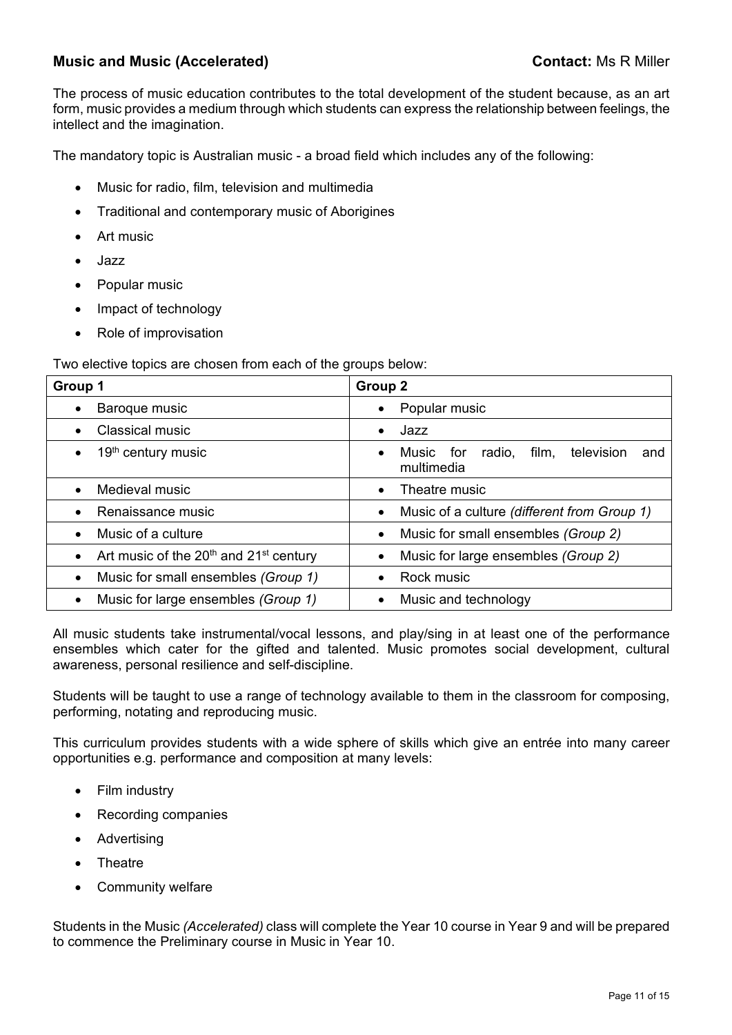# **Music and Music (Accelerated) Contact:** Ms R Miller

The process of music education contributes to the total development of the student because, as an art form, music provides a medium through which students can express the relationship between feelings, the intellect and the imagination.

The mandatory topic is Australian music - a broad field which includes any of the following:

- Music for radio, film, television and multimedia
- Traditional and contemporary music of Aborigines
- Art music
- Jazz
- Popular music
- Impact of technology
- Role of improvisation

Two elective topics are chosen from each of the groups below:

| Group 1                                                                     | Group 2                                                      |
|-----------------------------------------------------------------------------|--------------------------------------------------------------|
| Baroque music                                                               | Popular music                                                |
| Classical music                                                             | Jazz                                                         |
| 19 <sup>th</sup> century music<br>$\bullet$                                 | film, television<br>Music for<br>radio,<br>and<br>multimedia |
| Medieval music                                                              | Theatre music                                                |
| Renaissance music                                                           | Music of a culture (different from Group 1)<br>$\bullet$     |
| Music of a culture                                                          | Music for small ensembles (Group 2)<br>$\bullet$             |
| Art music of the 20 <sup>th</sup> and 21 <sup>st</sup> century<br>$\bullet$ | Music for large ensembles (Group 2)                          |
| Music for small ensembles (Group 1)<br>$\bullet$                            | Rock music                                                   |
| Music for large ensembles (Group 1)                                         | Music and technology                                         |

All music students take instrumental/vocal lessons, and play/sing in at least one of the performance ensembles which cater for the gifted and talented. Music promotes social development, cultural awareness, personal resilience and self-discipline.

Students will be taught to use a range of technology available to them in the classroom for composing, performing, notating and reproducing music.

This curriculum provides students with a wide sphere of skills which give an entrée into many career opportunities e.g. performance and composition at many levels:

- Film industry
- Recording companies
- Advertising
- Theatre
- Community welfare

Students in the Music *(Accelerated)* class will complete the Year 10 course in Year 9 and will be prepared to commence the Preliminary course in Music in Year 10.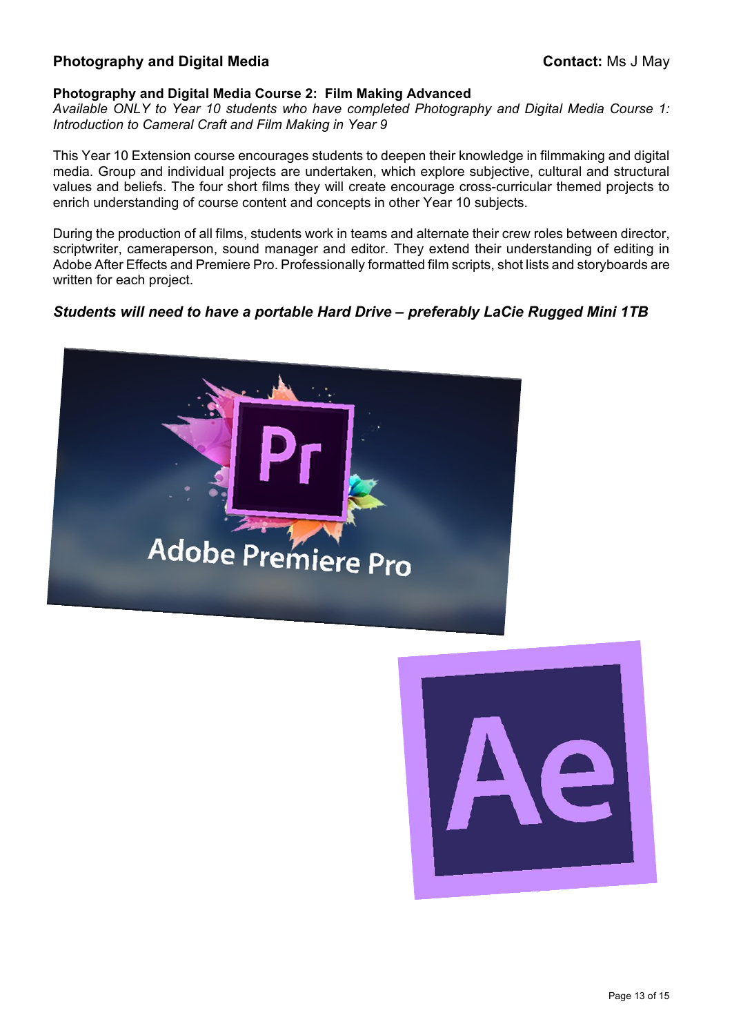# **Photography and Digital Media Contact:** Ms J May

## **Photography and Digital Media Course 2: Film Making Advanced**

*Available ONLY to Year 10 students who have completed Photography and Digital Media Course 1: Introduction to Cameral Craft and Film Making in Year 9*

This Year 10 Extension course encourages students to deepen their knowledge in filmmaking and digital media. Group and individual projects are undertaken, which explore subjective, cultural and structural values and beliefs. The four short films they will create encourage cross-curricular themed projects to enrich understanding of course content and concepts in other Year 10 subjects.

During the production of all films, students work in teams and alternate their crew roles between director, scriptwriter, cameraperson, sound manager and editor. They extend their understanding of editing in Adobe After Effects and Premiere Pro. Professionally formatted film scripts, shot lists and storyboards are written for each project.

# *Students will need to have a portable Hard Drive – preferably LaCie Rugged Mini 1TB*